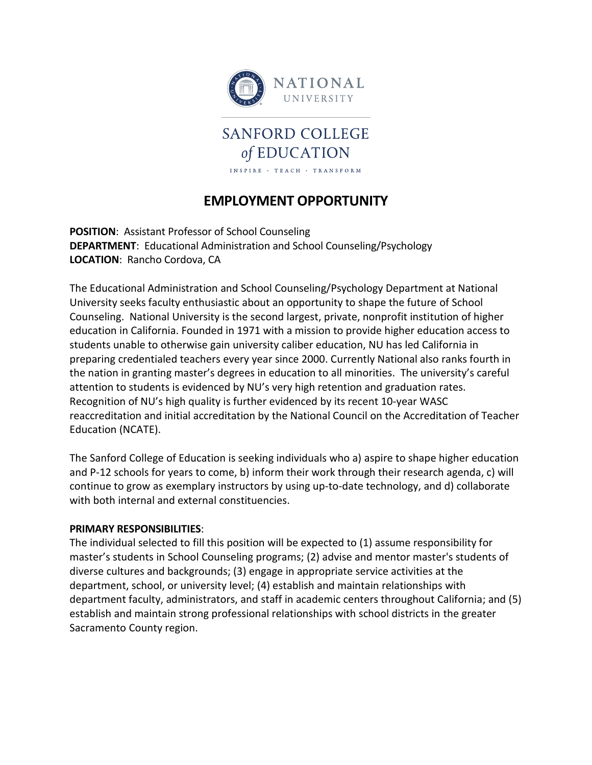

# **EMPLOYMENT OPPORTUNITY**

INSPIRE . TEACH . TRANSFORM

**POSITION**: Assistant Professor of School Counseling **DEPARTMENT**: Educational Administration and School Counseling/Psychology **LOCATION**: Rancho Cordova, CA

The Educational Administration and School Counseling/Psychology Department at National University seeks faculty enthusiastic about an opportunity to shape the future of School Counseling. National University is the second largest, private, nonprofit institution of higher education in California. Founded in 1971 with a mission to provide higher education access to students unable to otherwise gain university caliber education, NU has led California in preparing credentialed teachers every year since 2000. Currently National also ranks fourth in the nation in granting master's degrees in education to all minorities. The university's careful attention to students is evidenced by NU's very high retention and graduation rates. Recognition of NU's high quality is further evidenced by its recent 10-year WASC reaccreditation and initial accreditation by the National Council on the Accreditation of Teacher Education (NCATE).

The Sanford College of Education is seeking individuals who a) aspire to shape higher education and P-12 schools for years to come, b) inform their work through their research agenda, c) will continue to grow as exemplary instructors by using up-to-date technology, and d) collaborate with both internal and external constituencies.

#### **PRIMARY RESPONSIBILITIES**:

The individual selected to fill this position will be expected to (1) assume responsibility for master's students in School Counseling programs; (2) advise and mentor master's students of diverse cultures and backgrounds; (3) engage in appropriate service activities at the department, school, or university level; (4) establish and maintain relationships with department faculty, administrators, and staff in academic centers throughout California; and (5) establish and maintain strong professional relationships with school districts in the greater Sacramento County region.